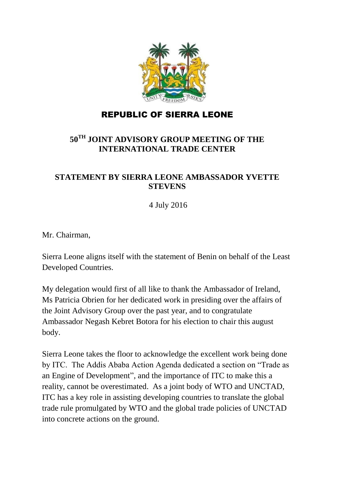

## REPUBLIC OF SIERRA LEONE

## **50TH JOINT ADVISORY GROUP MEETING OF THE INTERNATIONAL TRADE CENTER**

## **STATEMENT BY SIERRA LEONE AMBASSADOR YVETTE STEVENS**

4 July 2016

Mr. Chairman,

Sierra Leone aligns itself with the statement of Benin on behalf of the Least Developed Countries.

My delegation would first of all like to thank the Ambassador of Ireland, Ms Patricia Obrien for her dedicated work in presiding over the affairs of the Joint Advisory Group over the past year, and to congratulate Ambassador Negash Kebret Botora for his election to chair this august body.

Sierra Leone takes the floor to acknowledge the excellent work being done by ITC. The Addis Ababa Action Agenda dedicated a section on "Trade as an Engine of Development", and the importance of ITC to make this a reality, cannot be overestimated. As a joint body of WTO and UNCTAD, ITC has a key role in assisting developing countries to translate the global trade rule promulgated by WTO and the global trade policies of UNCTAD into concrete actions on the ground.